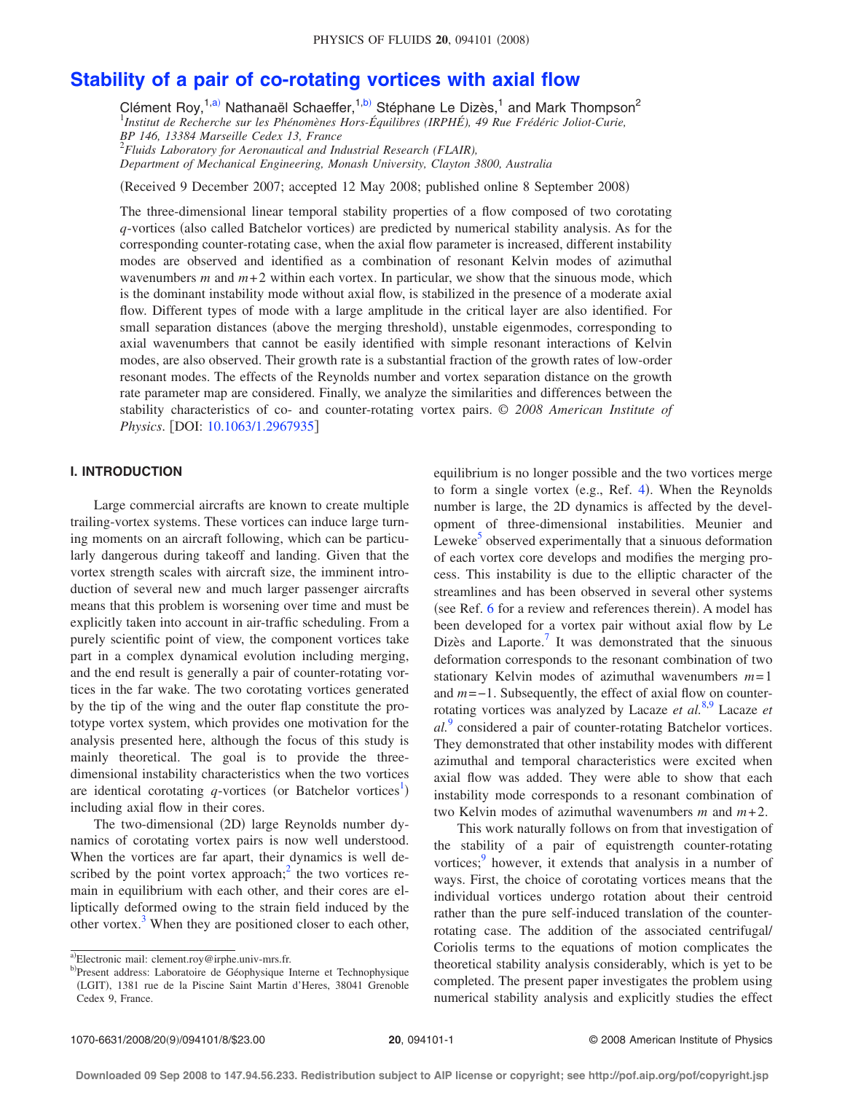# **[Stability of a pair of co-rotating vortices with axial flow](http://dx.doi.org/10.1063/1.2967935)**

Clément Roy,<sup>1[,a](#page-0-0))</sup> Nathanaël Schaeffer,<sup>1[,b](#page-0-1))</sup> Stéphane Le Dizès,<sup>1</sup> and Mark Thompson<sup>2</sup> 1 *Institut de Recherche sur les Phénomènes Hors-Équilibres (IRPHÉ), 49 Rue Frédéric Joliot-Curie, BP 146, 13384 Marseille Cedex 13, France* 2 *Fluids Laboratory for Aeronautical and Industrial Research (FLAIR),*

*Department of Mechanical Engineering, Monash University, Clayton 3800, Australia*

(Received 9 December 2007; accepted 12 May 2008; published online 8 September 2008)

The three-dimensional linear temporal stability properties of a flow composed of two corotating *q*-vortices (also called Batchelor vortices) are predicted by numerical stability analysis. As for the corresponding counter-rotating case, when the axial flow parameter is increased, different instability modes are observed and identified as a combination of resonant Kelvin modes of azimuthal wavenumbers  $m$  and  $m+2$  within each vortex. In particular, we show that the sinuous mode, which is the dominant instability mode without axial flow, is stabilized in the presence of a moderate axial flow. Different types of mode with a large amplitude in the critical layer are also identified. For small separation distances (above the merging threshold), unstable eigenmodes, corresponding to axial wavenumbers that cannot be easily identified with simple resonant interactions of Kelvin modes, are also observed. Their growth rate is a substantial fraction of the growth rates of low-order resonant modes. The effects of the Reynolds number and vortex separation distance on the growth rate parameter map are considered. Finally, we analyze the similarities and differences between the stability characteristics of co- and counter-rotating vortex pairs. © *2008 American Institute of Physics*. [DOI: [10.1063/1.2967935](http://dx.doi.org/10.1063/1.2967935)]

# **I. INTRODUCTION**

Large commercial aircrafts are known to create multiple trailing-vortex systems. These vortices can induce large turning moments on an aircraft following, which can be particularly dangerous during takeoff and landing. Given that the vortex strength scales with aircraft size, the imminent introduction of several new and much larger passenger aircrafts means that this problem is worsening over time and must be explicitly taken into account in air-traffic scheduling. From a purely scientific point of view, the component vortices take part in a complex dynamical evolution including merging, and the end result is generally a pair of counter-rotating vortices in the far wake. The two corotating vortices generated by the tip of the wing and the outer flap constitute the prototype vortex system, which provides one motivation for the analysis presented here, although the focus of this study is mainly theoretical. The goal is to provide the threedimensional instability characteristics when the two vortices are identical corotating q-vortices (or Batchelor vortices<sup>[1](#page-7-1)</sup>) including axial flow in their cores.

The two-dimensional (2D) large Reynolds number dynamics of corotating vortex pairs is now well understood. When the vortices are far apart, their dynamics is well described by the point vortex approach;<sup>2</sup> the two vortices remain in equilibrium with each other, and their cores are elliptically deformed owing to the strain field induced by the other vortex. $3$  When they are positioned closer to each other, equilibrium is no longer possible and the two vortices merge to form a single vortex (e.g., Ref. [4](#page-7-4)). When the Reynolds number is large, the 2D dynamics is affected by the development of three-dimensional instabilities. Meunier and Leweke<sup>5</sup> observed experimentally that a sinuous deformation of each vortex core develops and modifies the merging process. This instability is due to the elliptic character of the streamlines and has been observed in several other systems (see Ref.  $6$  for a review and references therein). A model has been developed for a vortex pair without axial flow by Le Dizès and Laporte.<sup>7</sup> It was demonstrated that the sinuous deformation corresponds to the resonant combination of two stationary Kelvin modes of azimuthal wavenumbers *m*= 1 and *m*=−1. Subsequently, the effect of axial flow on counterrotating vortices was analyzed by Lacaze *et al.*[8](#page-7-8)[,9](#page-7-0) Lacaze *et al.*[9](#page-7-0) considered a pair of counter-rotating Batchelor vortices. They demonstrated that other instability modes with different azimuthal and temporal characteristics were excited when axial flow was added. They were able to show that each instability mode corresponds to a resonant combination of two Kelvin modes of azimuthal wavenumbers  $m$  and  $m+2$ .

This work naturally follows on from that investigation of the stability of a pair of equistrength counter-rotating vortices;<sup>9</sup> however, it extends that analysis in a number of ways. First, the choice of corotating vortices means that the individual vortices undergo rotation about their centroid rather than the pure self-induced translation of the counterrotating case. The addition of the associated centrifugal/ Coriolis terms to the equations of motion complicates the theoretical stability analysis considerably, which is yet to be completed. The present paper investigates the problem using numerical stability analysis and explicitly studies the effect

<span id="page-0-0"></span>a)Electronic mail: clement.roy@irphe.univ-mrs.fr.

<span id="page-0-1"></span><sup>&</sup>lt;sup>b)</sup>Present address: Laboratoire de Géophysique Interne et Technophysique (LGIT), 1381 rue de la Piscine Saint Martin d'Heres, 38041 Grenoble Cedex 9, France.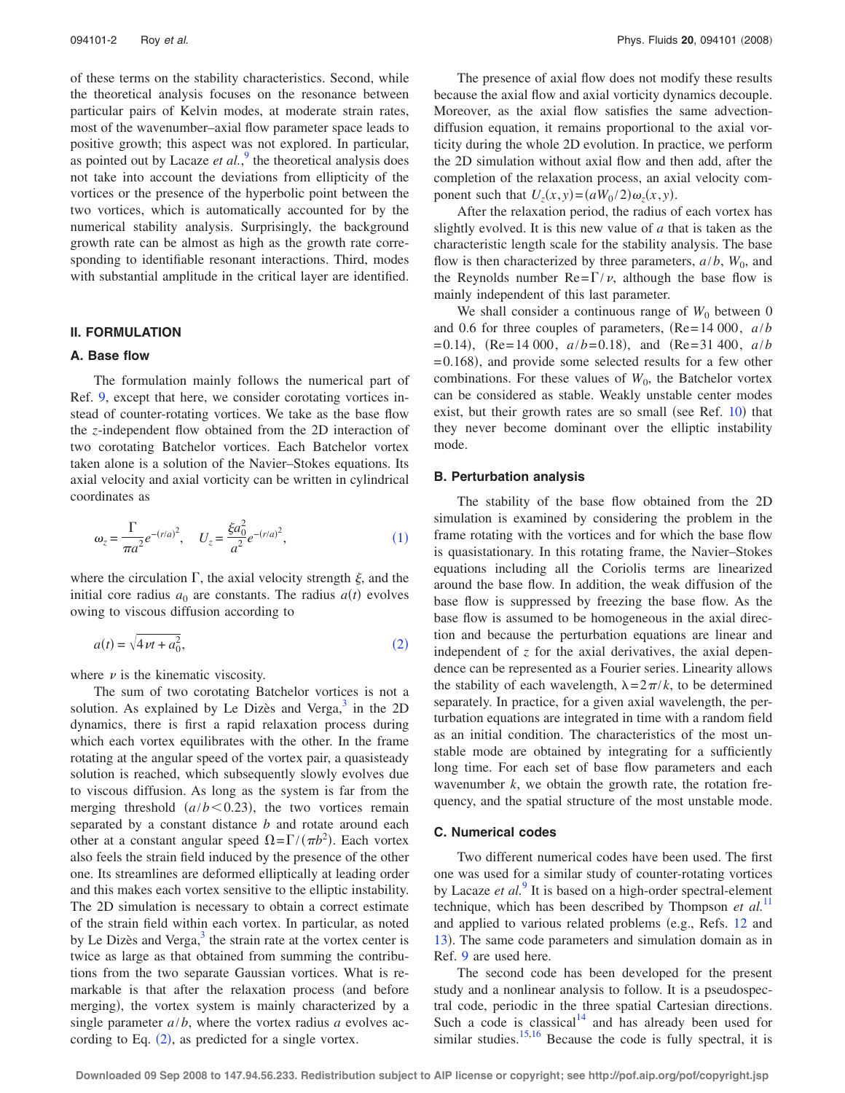of these terms on the stability characteristics. Second, while the theoretical analysis focuses on the resonance between particular pairs of Kelvin modes, at moderate strain rates, most of the wavenumber–axial flow parameter space leads to positive growth; this aspect was not explored. In particular, as pointed out by Lacaze *et al.*,<sup>[9](#page-7-0)</sup> the theoretical analysis does not take into account the deviations from ellipticity of the vortices or the presence of the hyperbolic point between the two vortices, which is automatically accounted for by the numerical stability analysis. Surprisingly, the background growth rate can be almost as high as the growth rate corresponding to identifiable resonant interactions. Third, modes with substantial amplitude in the critical layer are identified.

#### **II. FORMULATION**

#### **A. Base flow**

The formulation mainly follows the numerical part of Ref. [9,](#page-7-0) except that here, we consider corotating vortices instead of counter-rotating vortices. We take as the base flow the *z*-independent flow obtained from the 2D interaction of two corotating Batchelor vortices. Each Batchelor vortex taken alone is a solution of the Navier–Stokes equations. Its axial velocity and axial vorticity can be written in cylindrical coordinates as

<span id="page-1-0"></span>
$$
\omega_z = \frac{\Gamma}{\pi a^2} e^{-(r/a)^2}, \quad U_z = \frac{\xi a_0^2}{a^2} e^{-(r/a)^2}, \tag{1}
$$

where the circulation  $\Gamma$ , the axial velocity strength  $\xi$ , and the initial core radius  $a_0$  are constants. The radius  $a(t)$  evolves owing to viscous diffusion according to

<span id="page-1-1"></span>
$$
a(t) = \sqrt{4\nu t + a_0^2},\tag{2}
$$

where  $\nu$  is the kinematic viscosity.

The sum of two corotating Batchelor vortices is not a solution. As explained by Le Dizès and Verga, $3$  in the 2D dynamics, there is first a rapid relaxation process during which each vortex equilibrates with the other. In the frame rotating at the angular speed of the vortex pair, a quasisteady solution is reached, which subsequently slowly evolves due to viscous diffusion. As long as the system is far from the merging threshold  $(a/b < 0.23)$ , the two vortices remain separated by a constant distance *b* and rotate around each other at a constant angular speed  $\Omega = \Gamma/(\pi b^2)$ . Each vortex also feels the strain field induced by the presence of the other one. Its streamlines are deformed elliptically at leading order and this makes each vortex sensitive to the elliptic instability. The 2D simulation is necessary to obtain a correct estimate of the strain field within each vortex. In particular, as noted by Le Dizès and Verga, $3$  the strain rate at the vortex center is twice as large as that obtained from summing the contributions from the two separate Gaussian vortices. What is remarkable is that after the relaxation process (and before merging), the vortex system is mainly characterized by a single parameter *a*/*b*, where the vortex radius *a* evolves according to Eq.  $(2)$  $(2)$  $(2)$ , as predicted for a single vortex.

The presence of axial flow does not modify these results because the axial flow and axial vorticity dynamics decouple. Moreover, as the axial flow satisfies the same advectiondiffusion equation, it remains proportional to the axial vorticity during the whole 2D evolution. In practice, we perform the 2D simulation without axial flow and then add, after the completion of the relaxation process, an axial velocity component such that  $U_z(x, y) = (aW_0/2)\omega_z(x, y)$ .

After the relaxation period, the radius of each vortex has slightly evolved. It is this new value of *a* that is taken as the characteristic length scale for the stability analysis. The base flow is then characterized by three parameters,  $a/b$ ,  $W_0$ , and the Reynolds number  $\text{Re}=\Gamma/\nu$ , although the base flow is mainly independent of this last parameter.

We shall consider a continuous range of  $W_0$  between 0 and 0.6 for three couples of parameters,  $(Re= 14000, a/b)$  $= 0.14$ ,  $(Re = 14\ 000, a/b = 0.18)$ , and  $(Re = 31\ 400, a/b)$  $= 0.168$ ), and provide some selected results for a few other combinations. For these values of  $W_0$ , the Batchelor vortex can be considered as stable. Weakly unstable center modes exist, but their growth rates are so small (see Ref.  $10$ ) that they never become dominant over the elliptic instability mode.

### **B. Perturbation analysis**

The stability of the base flow obtained from the 2D simulation is examined by considering the problem in the frame rotating with the vortices and for which the base flow is quasistationary. In this rotating frame, the Navier–Stokes equations including all the Coriolis terms are linearized around the base flow. In addition, the weak diffusion of the base flow is suppressed by freezing the base flow. As the base flow is assumed to be homogeneous in the axial direction and because the perturbation equations are linear and independent of *z* for the axial derivatives, the axial dependence can be represented as a Fourier series. Linearity allows the stability of each wavelength,  $\lambda = 2\pi/k$ , to be determined separately. In practice, for a given axial wavelength, the perturbation equations are integrated in time with a random field as an initial condition. The characteristics of the most unstable mode are obtained by integrating for a sufficiently long time. For each set of base flow parameters and each wavenumber *k*, we obtain the growth rate, the rotation frequency, and the spatial structure of the most unstable mode.

## **C. Numerical codes**

Two different numerical codes have been used. The first one was used for a similar study of counter-rotating vortices by Lacaze *et al.*[9](#page-7-0) It is based on a high-order spectral-element technique, which has been described by Thompson *et al.*[11](#page-7-11) and applied to various related problems (e.g., Refs. [12](#page-7-12) and [13](#page-7-13)). The same code parameters and simulation domain as in Ref. [9](#page-7-0) are used here.

The second code has been developed for the present study and a nonlinear analysis to follow. It is a pseudospectral code, periodic in the three spatial Cartesian directions. Such a code is classical $14$  and has already been used for similar studies. $15,16$  $15,16$  Because the code is fully spectral, it is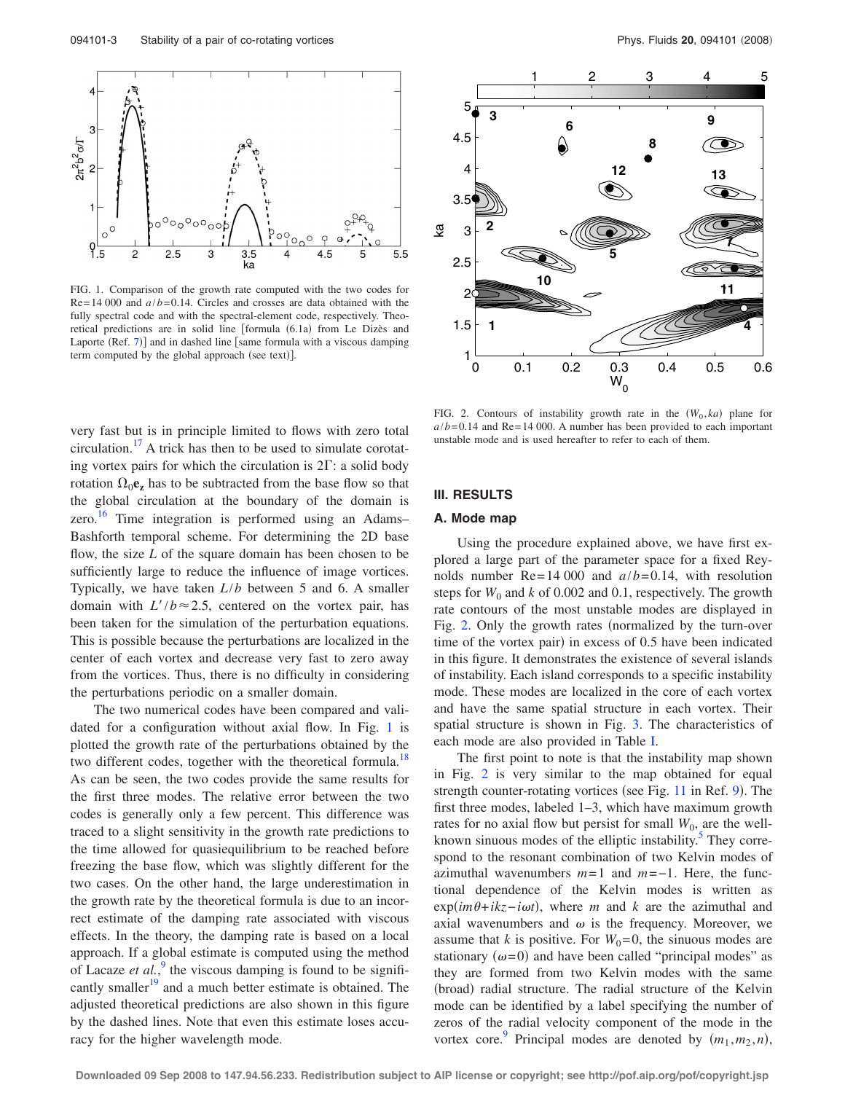<span id="page-2-0"></span>

FIG. 1. Comparison of the growth rate computed with the two codes for  $Re = 14000$  and  $a/b = 0.14$ . Circles and crosses are data obtained with the fully spectral code and with the spectral-element code, respectively. Theoretical predictions are in solid line [formula (6.1a) from Le Dizès and Laporte  $(Ref. 7)$  $(Ref. 7)$  $(Ref. 7)$ ] and in dashed line [same formula with a viscous damping term computed by the global approach (see text)].

very fast but is in principle limited to flows with zero total circulation.<sup>17</sup> A trick has then to be used to simulate corotating vortex pairs for which the circulation is  $2\Gamma$ : a solid body rotation  $\Omega_0$ **e**<sub>z</sub> has to be subtracted from the base flow so that the global circulation at the boundary of the domain is zero.<sup>[16](#page-7-9)</sup> Time integration is performed using an Adams– Bashforth temporal scheme. For determining the 2D base flow, the size *L* of the square domain has been chosen to be sufficiently large to reduce the influence of image vortices. Typically, we have taken *L*/*b* between 5 and 6. A smaller domain with  $L'/b \approx 2.5$ , centered on the vortex pair, has been taken for the simulation of the perturbation equations. This is possible because the perturbations are localized in the center of each vortex and decrease very fast to zero away from the vortices. Thus, there is no difficulty in considering the perturbations periodic on a smaller domain.

The two numerical codes have been compared and validated for a configuration without axial flow. In Fig. [1](#page-2-0) is plotted the growth rate of the perturbations obtained by the two different codes, together with the theoretical formula.<sup>18</sup> As can be seen, the two codes provide the same results for the first three modes. The relative error between the two codes is generally only a few percent. This difference was traced to a slight sensitivity in the growth rate predictions to the time allowed for quasiequilibrium to be reached before freezing the base flow, which was slightly different for the two cases. On the other hand, the large underestimation in the growth rate by the theoretical formula is due to an incorrect estimate of the damping rate associated with viscous effects. In the theory, the damping rate is based on a local approach. If a global estimate is computed using the method of Lacaze *et al.*,<sup>[9](#page-7-0)</sup> the viscous damping is found to be significantly smaller<sup>19</sup> and a much better estimate is obtained. The adjusted theoretical predictions are also shown in this figure by the dashed lines. Note that even this estimate loses accuracy for the higher wavelength mode.

<span id="page-2-1"></span>

FIG. 2. Contours of instability growth rate in the  $(W_0, ka)$  plane for  $a/b = 0.14$  and Re= 14 000. A number has been provided to each important unstable mode and is used hereafter to refer to each of them.

#### **III. RESULTS**

## **A. Mode map**

Using the procedure explained above, we have first explored a large part of the parameter space for a fixed Reynolds number  $Re = 14000$  and  $a/b = 0.14$ , with resolution steps for  $W_0$  and  $k$  of 0.002 and 0.1, respectively. The growth rate contours of the most unstable modes are displayed in Fig. [2.](#page-2-1) Only the growth rates (normalized by the turn-over time of the vortex pair) in excess of  $0.5$  have been indicated in this figure. It demonstrates the existence of several islands of instability. Each island corresponds to a specific instability mode. These modes are localized in the core of each vortex and have the same spatial structure in each vortex. Their spatial structure is shown in Fig. [3.](#page-3-0) The characteristics of each mode are also provided in Table [I.](#page-3-1)

The first point to note is that the instability map shown in Fig. [2](#page-2-1) is very similar to the map obtained for equal strength counter-rotating vortices (see Fig.  $11$  in Ref. [9](#page-7-0)). The first three modes, labeled 1–3, which have maximum growth rates for no axial flow but persist for small  $W_0$ , are the wellknown sinuous modes of the elliptic instability.<sup>5</sup> They correspond to the resonant combination of two Kelvin modes of azimuthal wavenumbers *m*= 1 and *m*=−1. Here, the functional dependence of the Kelvin modes is written as  $\exp(im\theta + ikz-i\omega t)$ , where *m* and *k* are the azimuthal and axial wavenumbers and  $\omega$  is the frequency. Moreover, we assume that *k* is positive. For  $W_0 = 0$ , the sinuous modes are stationary  $(\omega = 0)$  and have been called "principal modes" as they are formed from two Kelvin modes with the same (broad) radial structure. The radial structure of the Kelvin mode can be identified by a label specifying the number of zeros of the radial velocity component of the mode in the vortex core.<sup>9</sup> Principal modes are denoted by  $(m_1, m_2, n)$ ,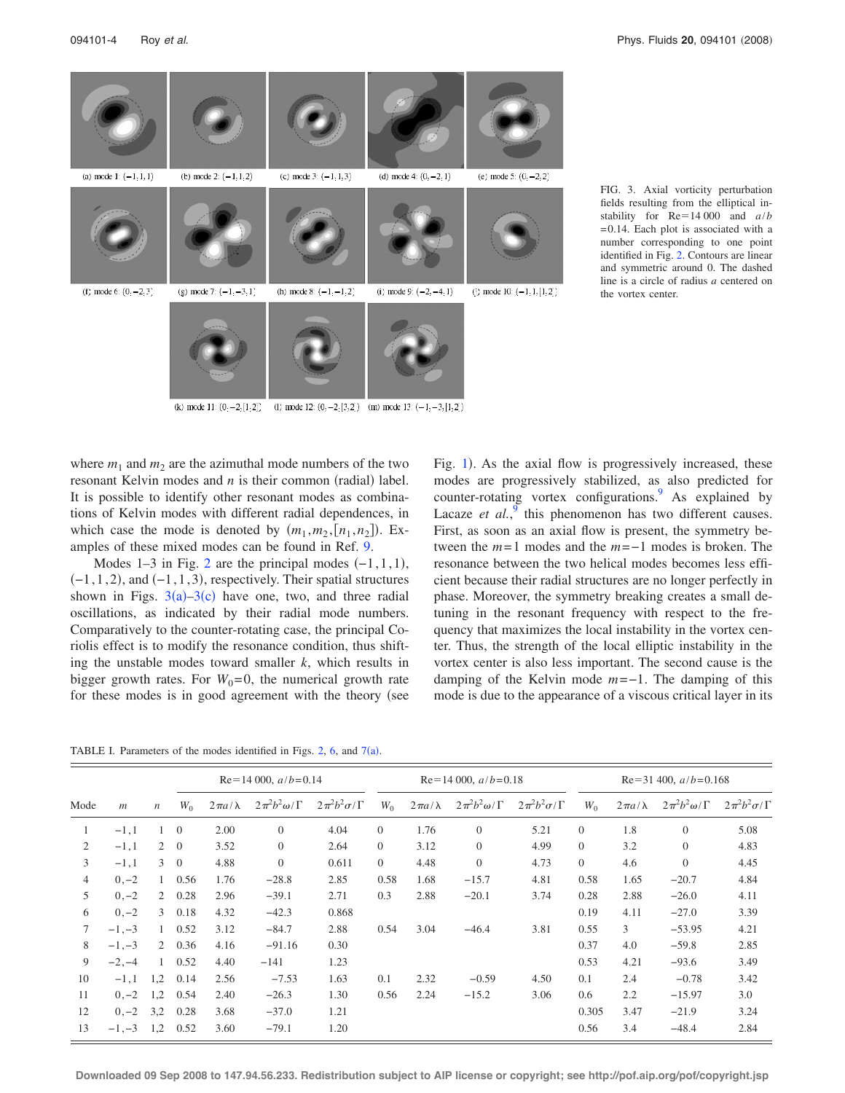<span id="page-3-0"></span>

FIG. 3. Axial vorticity perturbation fields resulting from the elliptical instability for  $Re=14000$  and  $a/b$ = 0.14. Each plot is associated with a number corresponding to one point identified in Fig. [2.](#page-2-1) Contours are linear and symmetric around 0. The dashed line is a circle of radius *a* centered on the vortex center.

(k) mode 11:  $(0, -2, [1, 2])$  (l) mode 12:  $(0, -2, [3, 2])$  (m) mode 13:  $(-1, -3, [1, 2])$ 

where  $m_1$  and  $m_2$  are the azimuthal mode numbers of the two resonant Kelvin modes and  $n$  is their common (radial) label. It is possible to identify other resonant modes as combinations of Kelvin modes with different radial dependences, in which case the mode is denoted by  $(m_1, m_2, [n_1, n_2])$ . Examples of these mixed modes can be found in Ref. [9.](#page-7-0)

Modes 1–3 in Fig. [2](#page-2-1) are the principal modes  $(-1, 1, 1)$ ,  $(-1, 1, 2)$ , and  $(-1, 1, 3)$ , respectively. Their spatial structures shown in Figs.  $3(a) - 3(c)$  $3(a) - 3(c)$  have one, two, and three radial oscillations, as indicated by their radial mode numbers. Comparatively to the counter-rotating case, the principal Coriolis effect is to modify the resonance condition, thus shifting the unstable modes toward smaller *k*, which results in bigger growth rates. For  $W_0 = 0$ , the numerical growth rate for these modes is in good agreement with the theory (see Fig. [1](#page-2-0)). As the axial flow is progressively increased, these modes are progressively stabilized, as also predicted for counter-rotating vortex configurations.<sup>9</sup> As explained by Lacaze *et al.*, this phenomenon has two different causes. First, as soon as an axial flow is present, the symmetry between the *m*= 1 modes and the *m*=−1 modes is broken. The resonance between the two helical modes becomes less efficient because their radial structures are no longer perfectly in phase. Moreover, the symmetry breaking creates a small detuning in the resonant frequency with respect to the frequency that maximizes the local instability in the vortex center. Thus, the strength of the local elliptic instability in the vortex center is also less important. The second cause is the damping of the Kelvin mode *m*=−1. The damping of this mode is due to the appearance of a viscous critical layer in its

<span id="page-3-1"></span>TABLE I. Parameters of the modes identified in Figs. [2,](#page-2-1) [6,](#page-5-1) and  $7(a)$  $7(a)$ .

|                |                |                  | $Re=14000$ , $a/b=0.14$ |                  |                            |                          | $Re=14000$ , $a/b=0.18$ |                  |                            |                          | $Re=31400$ , $a/b=0.168$ |                  |                          |                          |
|----------------|----------------|------------------|-------------------------|------------------|----------------------------|--------------------------|-------------------------|------------------|----------------------------|--------------------------|--------------------------|------------------|--------------------------|--------------------------|
| Mode           | $\mathfrak{m}$ | $\boldsymbol{n}$ | $W_0$                   | $2\pi a/\lambda$ | $2\pi^2 b^2 \omega/\Gamma$ | $2\pi^2b^2\sigma/\Gamma$ | $W_0$                   | $2\pi a/\lambda$ | $2\pi^2 b^2 \omega/\Gamma$ | $2\pi^2b^2\sigma/\Gamma$ | $W_0$                    | $2\pi a/\lambda$ | $2\pi^2b^2\omega/\Gamma$ | $2\pi^2b^2\sigma/\Gamma$ |
| 1              | $-1,1$         |                  | $\overline{0}$          | 2.00             | $\boldsymbol{0}$           | 4.04                     | $\overline{0}$          | 1.76             | $\overline{0}$             | 5.21                     | $\mathbf{0}$             | 1.8              | $\overline{0}$           | 5.08                     |
| 2              | $-1,1$         |                  | $2 \quad 0$             | 3.52             | $\mathbf{0}$               | 2.64                     | $\overline{0}$          | 3.12             | $\theta$                   | 4.99                     | $\theta$                 | 3.2              | $\theta$                 | 4.83                     |
| 3              | $-1,1$         | 3                | $\Omega$                | 4.88             | $\overline{0}$             | 0.611                    | $\Omega$                | 4.48             | $\overline{0}$             | 4.73                     | $\theta$                 | 4.6              | $\overline{0}$           | 4.45                     |
| $\overline{4}$ | $0, -2$        |                  | 0.56                    | 1.76             | $-28.8$                    | 2.85                     | 0.58                    | 1.68             | $-15.7$                    | 4.81                     | 0.58                     | 1.65             | $-20.7$                  | 4.84                     |
| 5              | $0, -2$        | $\overline{2}$   | 0.28                    | 2.96             | $-39.1$                    | 2.71                     | 0.3                     | 2.88             | $-20.1$                    | 3.74                     | 0.28                     | 2.88             | $-26.0$                  | 4.11                     |
| 6              | $0, -2$        | 3                | 0.18                    | 4.32             | $-42.3$                    | 0.868                    |                         |                  |                            |                          | 0.19                     | 4.11             | $-27.0$                  | 3.39                     |
| 7              | $-1, -3$       | 1                | 0.52                    | 3.12             | $-84.7$                    | 2.88                     | 0.54                    | 3.04             | $-46.4$                    | 3.81                     | 0.55                     | 3                | $-53.95$                 | 4.21                     |
| 8              | $-1, -3$       |                  | $2\quad 0.36$           | 4.16             | $-91.16$                   | 0.30                     |                         |                  |                            |                          | 0.37                     | 4.0              | $-59.8$                  | 2.85                     |
| 9              | $-2, -4$       | $\mathbf{1}$     | 0.52                    | 4.40             | $-141$                     | 1.23                     |                         |                  |                            |                          | 0.53                     | 4.21             | $-93.6$                  | 3.49                     |
| 10             | $-1,1$         | 1,2              | 0.14                    | 2.56             | $-7.53$                    | 1.63                     | 0.1                     | 2.32             | $-0.59$                    | 4.50                     | 0.1                      | 2.4              | $-0.78$                  | 3.42                     |
| 11             | $0, -2$        | 1,2              | 0.54                    | 2.40             | $-26.3$                    | 1.30                     | 0.56                    | 2.24             | $-15.2$                    | 3.06                     | 0.6                      | 2.2              | $-15.97$                 | 3.0                      |
| 12             | $0, -2$        | 3,2              | 0.28                    | 3.68             | $-37.0$                    | 1.21                     |                         |                  |                            |                          | 0.305                    | 3.47             | $-21.9$                  | 3.24                     |
| 13             | $-1, -3$       | 1,2              | 0.52                    | 3.60             | $-79.1$                    | 1.20                     |                         |                  |                            |                          | 0.56                     | 3.4              | $-48.4$                  | 2.84                     |

**Downloaded 09 Sep 2008 to 147.94.56.233. Redistribution subject to AIP license or copyright; see http://pof.aip.org/pof/copyright.jsp**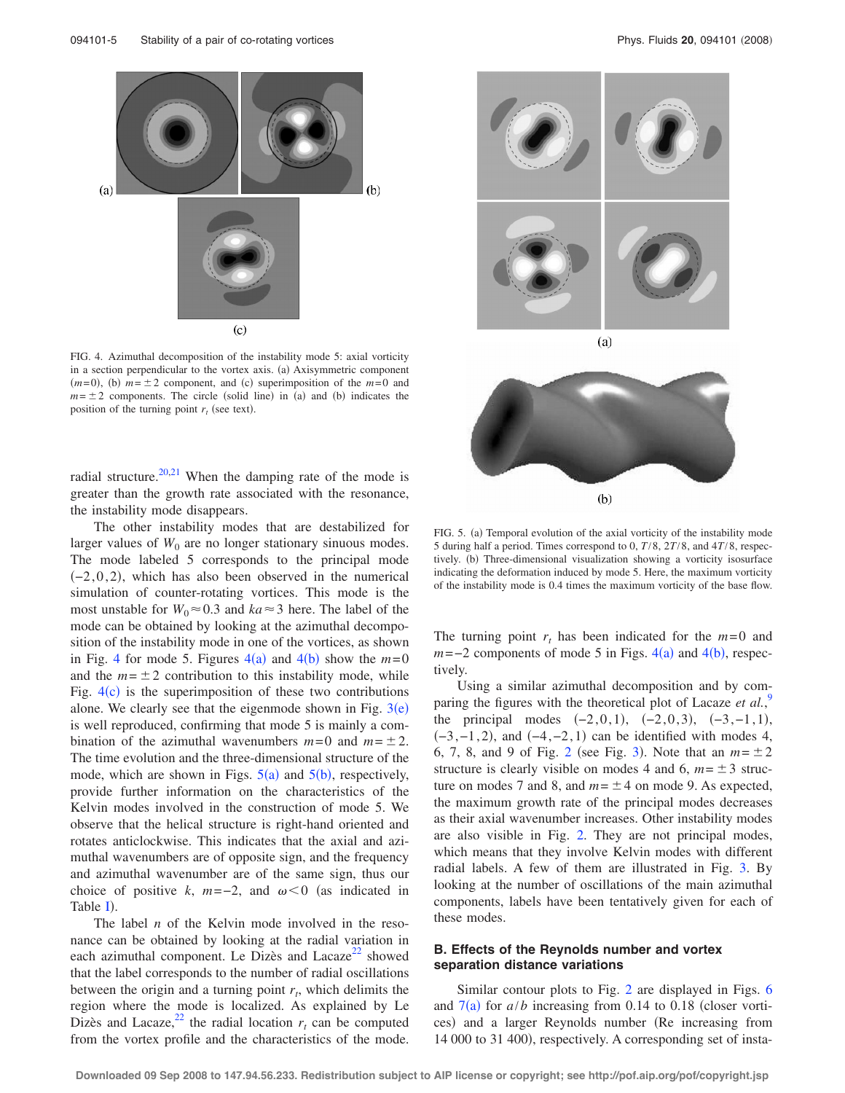<span id="page-4-0"></span>

FIG. 4. Azimuthal decomposition of the instability mode 5: axial vorticity in a section perpendicular to the vortex axis. (a) Axisymmetric component  $(m= 0)$ , (b)  $m = \pm 2$  component, and (c) superimposition of the  $m=0$  and  $m = \pm 2$  components. The circle (solid line) in (a) and (b) indicates the position of the turning point  $r_t$  (see text).

radial structure.<sup>20,[21](#page-7-21)</sup> When the damping rate of the mode is greater than the growth rate associated with the resonance, the instability mode disappears.

The other instability modes that are destabilized for larger values of  $W_0$  are no longer stationary sinuous modes. The mode labeled 5 corresponds to the principal mode  $(-2, 0, 2)$ , which has also been observed in the numerical simulation of counter-rotating vortices. This mode is the most unstable for  $W_0 \approx 0.3$  and  $ka \approx 3$  here. The label of the mode can be obtained by looking at the azimuthal decomposition of the instability mode in one of the vortices, as shown in Fig. [4](#page-4-0) for mode 5. Figures  $4(a)$  and  $4(b)$  show the  $m=0$ and the  $m = \pm 2$  contribution to this instability mode, while Fig.  $4(c)$  $4(c)$  is the superimposition of these two contributions alone. We clearly see that the eigenmode shown in Fig.  $3(e)$  $3(e)$ is well reproduced, confirming that mode 5 is mainly a combination of the azimuthal wavenumbers  $m=0$  and  $m=\pm 2$ . The time evolution and the three-dimensional structure of the mode, which are shown in Figs.  $5(a)$  $5(a)$  and  $5(b)$ , respectively, provide further information on the characteristics of the Kelvin modes involved in the construction of mode 5. We observe that the helical structure is right-hand oriented and rotates anticlockwise. This indicates that the axial and azimuthal wavenumbers are of opposite sign, and the frequency and azimuthal wavenumber are of the same sign, thus our choice of positive *k*,  $m=-2$ , and  $\omega < 0$  (as indicated in Table [I](#page-3-1)).

The label *n* of the Kelvin mode involved in the resonance can be obtained by looking at the radial variation in each azimuthal component. Le Dizès and Lacaze<sup>[22](#page-7-22)</sup> showed that the label corresponds to the number of radial oscillations between the origin and a turning point  $r_t$ , which delimits the region where the mode is localized. As explained by Le Dizès and Lacaze,  $^{22}$  $^{22}$  $^{22}$  the radial location  $r_t$  can be computed from the vortex profile and the characteristics of the mode.

<span id="page-4-1"></span>



FIG. 5. (a) Temporal evolution of the axial vorticity of the instability mode 5 during half a period. Times correspond to 0, *T*/8, 2*T*/8, and 4*T*/8, respectively. (b) Three-dimensional visualization showing a vorticity isosurface indicating the deformation induced by mode 5. Here, the maximum vorticity of the instability mode is 0.4 times the maximum vorticity of the base flow.

The turning point  $r_t$  has been indicated for the  $m=0$  and  $m=-2$  components of mode 5 in Figs.  $4(a)$  $4(a)$  and  $4(b)$  $4(b)$  $4(b)$ , respectively.

Using a similar azimuthal decomposition and by comparing the figures with the theoretical plot of Lacaze *et al.*,<sup>[9](#page-7-0)</sup> the principal modes  $(-2, 0, 1)$ ,  $(-2, 0, 3)$ ,  $(-3, -1, 1)$ ,  $(-3, -1, 2)$ , and  $(-4, -2, 1)$  can be identified with modes 4, 6, 7, 8, and 9 of Fig. [2](#page-2-1) (see Fig. [3](#page-3-0)). Note that an  $m = \pm 2$ structure is clearly visible on modes 4 and 6,  $m = \pm 3$  structure on modes 7 and 8, and  $m = \pm 4$  on mode 9. As expected, the maximum growth rate of the principal modes decreases as their axial wavenumber increases. Other instability modes are also visible in Fig. [2.](#page-2-1) They are not principal modes, which means that they involve Kelvin modes with different radial labels. A few of them are illustrated in Fig. [3.](#page-3-0) By looking at the number of oscillations of the main azimuthal components, labels have been tentatively given for each of these modes.

# **B. Effects of the Reynolds number and vortex separation distance variations**

Similar contour plots to Fig. [2](#page-2-1) are displayed in Figs. [6](#page-5-1) and  $7(a)$  $7(a)$  for  $a/b$  increasing from 0.14 to 0.18 (closer vortices) and a larger Reynolds number (Re increasing from 14 000 to 31 400), respectively. A corresponding set of insta-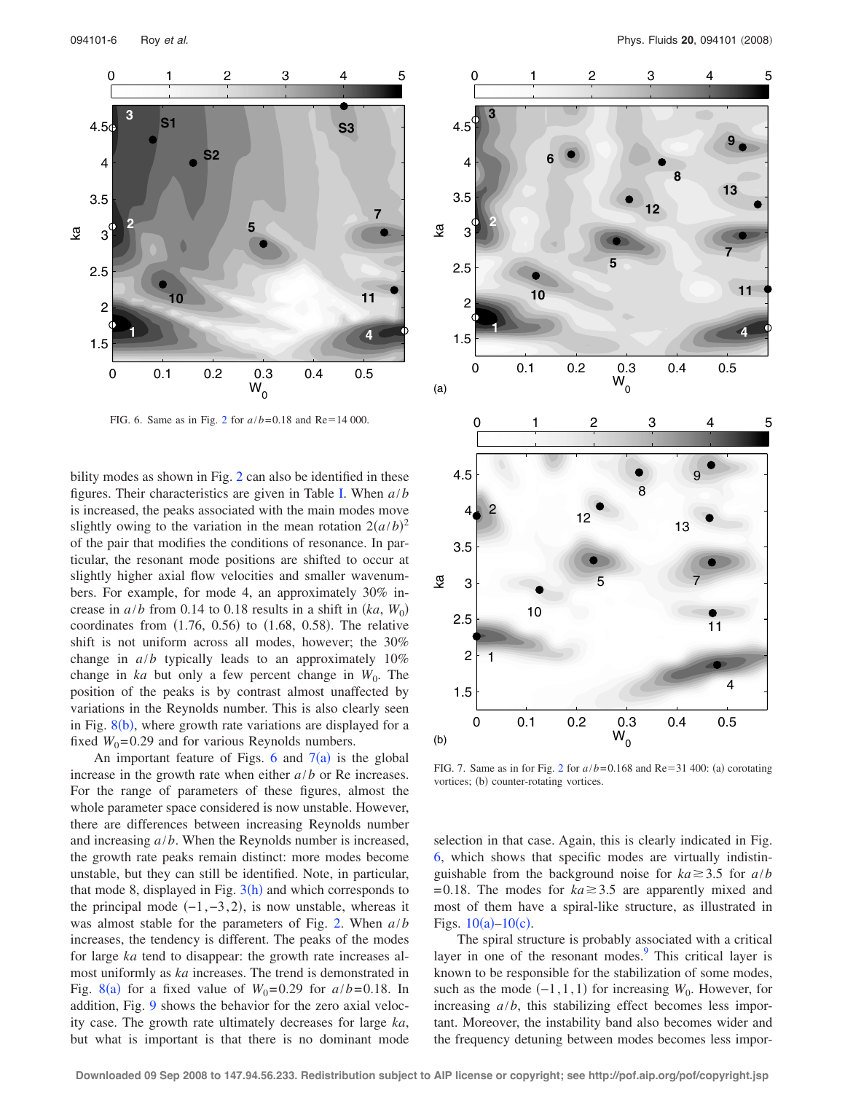<span id="page-5-1"></span>

FIG. 6. Same as in Fig. [2](#page-2-1) for  $a/b = 0.18$  and Re=14 000.

bility modes as shown in Fig. [2](#page-2-1) can also be identified in these figures. Their characteristics are given in Table [I.](#page-3-1) When *a*/*b* is increased, the peaks associated with the main modes move slightly owing to the variation in the mean rotation  $2(a/b)^2$ of the pair that modifies the conditions of resonance. In particular, the resonant mode positions are shifted to occur at slightly higher axial flow velocities and smaller wavenumbers. For example, for mode 4, an approximately 30% increase in  $a/b$  from 0.14 to 0.18 results in a shift in  $(ka, W_0)$ coordinates from  $(1.76, 0.56)$  to  $(1.68, 0.58)$ . The relative shift is not uniform across all modes, however; the 30% change in *a*/*b* typically leads to an approximately 10% change in  $ka$  but only a few percent change in  $W_0$ . The position of the peaks is by contrast almost unaffected by variations in the Reynolds number. This is also clearly seen in Fig.  $8(b)$  $8(b)$ , where growth rate variations are displayed for a fixed  $W_0$ =0.29 and for various Reynolds numbers.

An important feature of Figs. [6](#page-5-1) and  $7(a)$  $7(a)$  is the global increase in the growth rate when either *a*/*b* or Re increases. For the range of parameters of these figures, almost the whole parameter space considered is now unstable. However, there are differences between increasing Reynolds number and increasing *a*/*b*. When the Reynolds number is increased, the growth rate peaks remain distinct: more modes become unstable, but they can still be identified. Note, in particular, that mode 8, displayed in Fig.  $3(h)$  $3(h)$  and which corresponds to the principal mode  $(-1, -3, 2)$ , is now unstable, whereas it was almost stable for the parameters of Fig. [2.](#page-2-1) When *a*/*b* increases, the tendency is different. The peaks of the modes for large *ka* tend to disappear: the growth rate increases almost uniformly as *ka* increases. The trend is demonstrated in Fig. [8](#page-6-0)(a) for a fixed value of  $W_0 = 0.29$  for  $a/b = 0.18$ . In addition, Fig. [9](#page-6-1) shows the behavior for the zero axial velocity case. The growth rate ultimately decreases for large *ka*, but what is important is that there is no dominant mode

<span id="page-5-0"></span>

FIG. 7. Same as in for Fig. [2](#page-2-1) for  $a/b = 0.168$  and Re=31 400: (a) corotating vortices; (b) counter-rotating vortices.

selection in that case. Again, this is clearly indicated in Fig. [6,](#page-5-1) which shows that specific modes are virtually indistinguishable from the background noise for  $ka \geq 3.5$  for  $a/b$  $= 0.18$ . The modes for  $ka \ge 3.5$  are apparently mixed and most of them have a spiral-like structure, as illustrated in Figs.  $10(a) - 10(c)$  $10(a) - 10(c)$ .

The spiral structure is probably associated with a critical layer in one of the resonant modes.<sup>[9](#page-7-0)</sup> This critical layer is known to be responsible for the stabilization of some modes, such as the mode  $(-1, 1, 1)$  for increasing  $W_0$ . However, for increasing *a*/*b*, this stabilizing effect becomes less important. Moreover, the instability band also becomes wider and the frequency detuning between modes becomes less impor-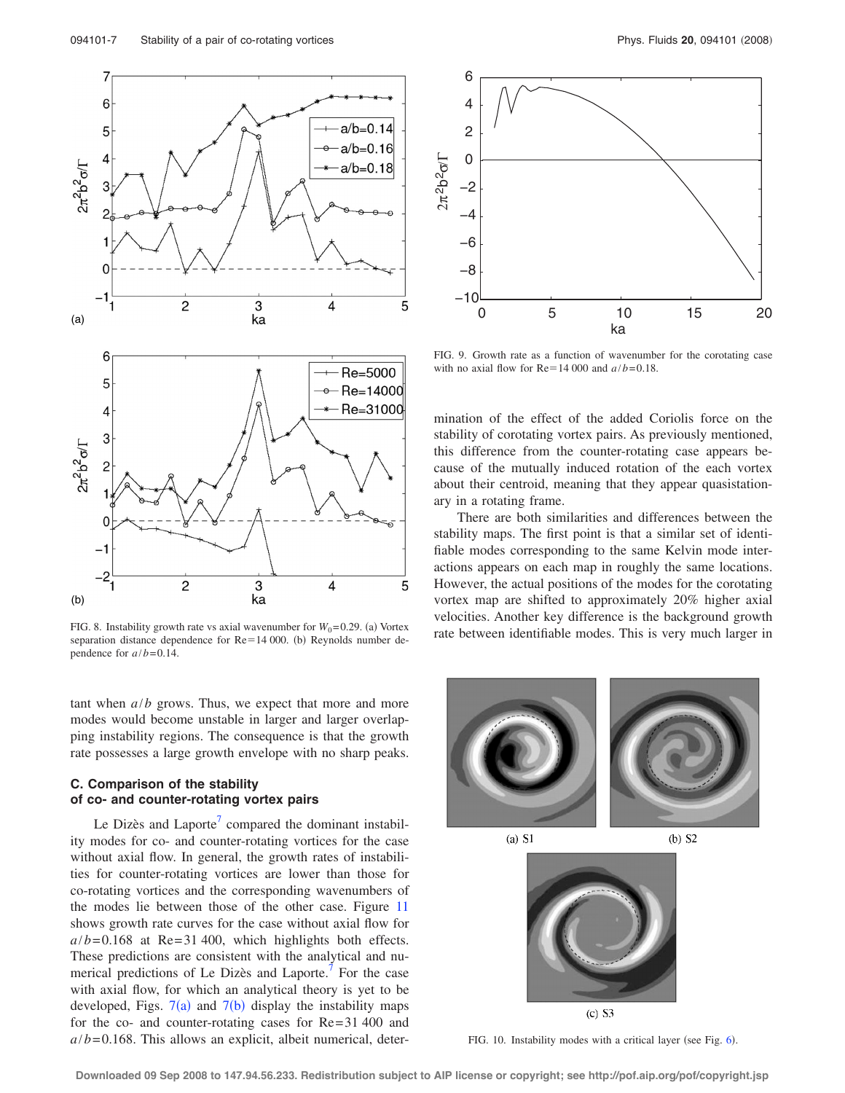<span id="page-6-0"></span>

FIG. 8. Instability growth rate vs axial wavenumber for  $W_0 = 0.29$ . (a) Vortex separation distance dependence for  $Re=14 000$ . (b) Reynolds number dependence for  $a/b = 0.14$ .

tant when *a*/*b* grows. Thus, we expect that more and more modes would become unstable in larger and larger overlapping instability regions. The consequence is that the growth rate possesses a large growth envelope with no sharp peaks.

## **C. Comparison of the stability of co- and counter-rotating vortex pairs**

Le Dizès and Laporte $\prime$  compared the dominant instability modes for co- and counter-rotating vortices for the case without axial flow. In general, the growth rates of instabilities for counter-rotating vortices are lower than those for co-rotating vortices and the corresponding wavenumbers of the modes lie between those of the other case. Figure [11](#page-7-19) shows growth rate curves for the case without axial flow for  $a/b = 0.168$  at Re= 31 400, which highlights both effects. These predictions are consistent with the analytical and numerical predictions of Le Dizès and Laporte.<sup>7</sup> For the case with axial flow, for which an analytical theory is yet to be developed, Figs.  $7(a)$  $7(a)$  and  $7(b)$  display the instability maps for the co- and counter-rotating cases for Re= 31 400 and  $a/b = 0.168$ . This allows an explicit, albeit numerical, deter-

<span id="page-6-1"></span>

FIG. 9. Growth rate as a function of wavenumber for the corotating case with no axial flow for  $Re = 14000$  and  $a/b = 0.18$ .

mination of the effect of the added Coriolis force on the stability of corotating vortex pairs. As previously mentioned, this difference from the counter-rotating case appears because of the mutually induced rotation of the each vortex about their centroid, meaning that they appear quasistationary in a rotating frame.

There are both similarities and differences between the stability maps. The first point is that a similar set of identifiable modes corresponding to the same Kelvin mode interactions appears on each map in roughly the same locations. However, the actual positions of the modes for the corotating vortex map are shifted to approximately 20% higher axial velocities. Another key difference is the background growth rate between identifiable modes. This is very much larger in

<span id="page-6-2"></span>

 $(a)$  S1

 $(b)$  S<sub>2</sub>



 $(c)$  S3

FIG. 10. Instability modes with a critical layer (see Fig. [6](#page-5-1)).